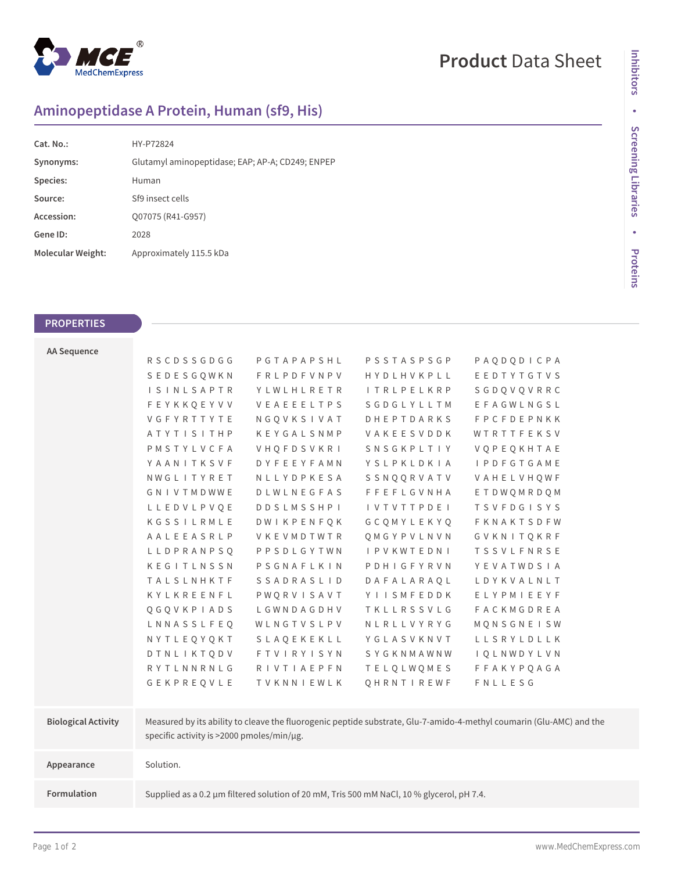

## **Product** Data Sheet

## **Aminopeptidase A Protein, Human (sf9, His)**

| HY-P72824                                        |
|--------------------------------------------------|
| Glutamyl aminopeptidase; EAP; AP-A; CD249; ENPEP |
| Human                                            |
| Sf9 insect cells                                 |
| Q07075 (R41-G957)                                |
| 2028                                             |
| Approximately 115.5 kDa                          |
|                                                  |

## **PROPERTIES**

| <b>AA Sequence</b>         |                                           |                   |                            |                                                                                                                      |  |
|----------------------------|-------------------------------------------|-------------------|----------------------------|----------------------------------------------------------------------------------------------------------------------|--|
|                            | <b>RSCDSSGDGG</b>                         | PGTAPAPSHL        | PSSTASPSGP                 | PAODODICPA                                                                                                           |  |
|                            | SEDESGOWKN                                | <b>FRLPDFVNPV</b> | HYDLHVKPLL                 | EEDTYTGTVS                                                                                                           |  |
|                            | <b>ISINLSAPTR</b>                         | YLWLHLRETR        | <b>ITRLPELKRP</b>          | SGDOVOVRRC                                                                                                           |  |
|                            | <b>FEYKKQEYVV</b>                         | VEAEEELTPS        | SGDGLYLLTM                 | EFAGWLNGSL                                                                                                           |  |
|                            | VGFYRTTYTE                                | NGQVKSIVAT        | <b>DHEPTDARKS</b>          | <b>FPCFDEPNKK</b>                                                                                                    |  |
|                            | ATYTISITHP                                | KEYGALSNMP        | VAKEESVDDK                 | WTRTTFEKSV                                                                                                           |  |
|                            | PMSTYLVCFA                                | VHOFDSVKRI        | SNSGKPLTIY                 | VQPEQKHTAE                                                                                                           |  |
|                            | YAANITKSVF                                | <b>DYFEEYFAMN</b> | YSLPKLDKIA                 | <b>I P D F G T G A M E</b>                                                                                           |  |
|                            | NWGLITYRET                                | NLLYDPKESA        | SSNQQRVATV                 | VAHELVHQWF                                                                                                           |  |
|                            | GNIVTMDWWE                                | DLWLNEGFAS        | <b>FFEFLGVNHA</b>          | ETDWQMRDQM                                                                                                           |  |
|                            | LLEDVLPVOE                                | <b>DDSLMSSHPI</b> | <b>IVTVTTPDEI</b>          | <b>TSVFDGISYS</b>                                                                                                    |  |
|                            | KGSSILRMLE                                | <b>DWIKPENFQK</b> | GCOMYLEKYO                 | FKNAKTSDFW                                                                                                           |  |
|                            | AALEEASRLP                                | VKEVMDTWTR        | QMGYPVLNVN                 | GVKNITQKRF                                                                                                           |  |
|                            | LLDPRANPSQ                                | PPSDLGYTWN        | <b>I P V K W T E D N I</b> | <b>TSSVLFNRSE</b>                                                                                                    |  |
|                            | KEGITLNSSN                                | PSGNAFLKIN        | PDHIGFYRVN                 | YEVATWDSIA                                                                                                           |  |
|                            | TALSLNHKTF                                | SSADRASLID        | DAFALARAQL                 | LDYKVALNLT                                                                                                           |  |
|                            | KYLKREENFL                                | PWQRVISAVT        | YIISMFEDDK                 | ELYPMIEEYF                                                                                                           |  |
|                            | QGQVKPIADS                                | LGWNDAGDHV        | TKLLRSSVLG                 | <b>FACKMGDREA</b>                                                                                                    |  |
|                            | LNNASSLFEQ                                | WLNGTVSLPV        | NLRLLVYRYG                 | MQNSGNEISW                                                                                                           |  |
|                            | NYTLEQYQKT                                | SLAQEKEKLL        | YGLASVKNVT                 | LLSRYLDLLK                                                                                                           |  |
|                            | DTNLIKTODV                                | <b>FTVIRYISYN</b> | SYGKNMAWNW                 | <b>IQLNWDYLVN</b>                                                                                                    |  |
|                            | RYTLNNRNLG                                | <b>RIVTIAEPFN</b> | <b>TELQLWQMES</b>          | <b>FFAKYPQAGA</b>                                                                                                    |  |
|                            | GEKPREQVLE                                | TVKNNIEWLK        | QHRNTIREWF                 | FNLLESG                                                                                                              |  |
|                            |                                           |                   |                            |                                                                                                                      |  |
| <b>Biological Activity</b> |                                           |                   |                            | Measured by its ability to cleave the fluorogenic peptide substrate, Glu-7-amido-4-methyl coumarin (Glu-AMC) and the |  |
|                            | specific activity is >2000 pmoles/min/µg. |                   |                            |                                                                                                                      |  |
|                            |                                           |                   |                            |                                                                                                                      |  |
| Appearance                 | Solution.                                 |                   |                            |                                                                                                                      |  |
|                            |                                           |                   |                            |                                                                                                                      |  |
|                            |                                           |                   |                            |                                                                                                                      |  |

**Formulation** Supplied as a 0.2 μm filtered solution of 20 mM, Tris 500 mM NaCl, 10 % glycerol, pH 7.4.